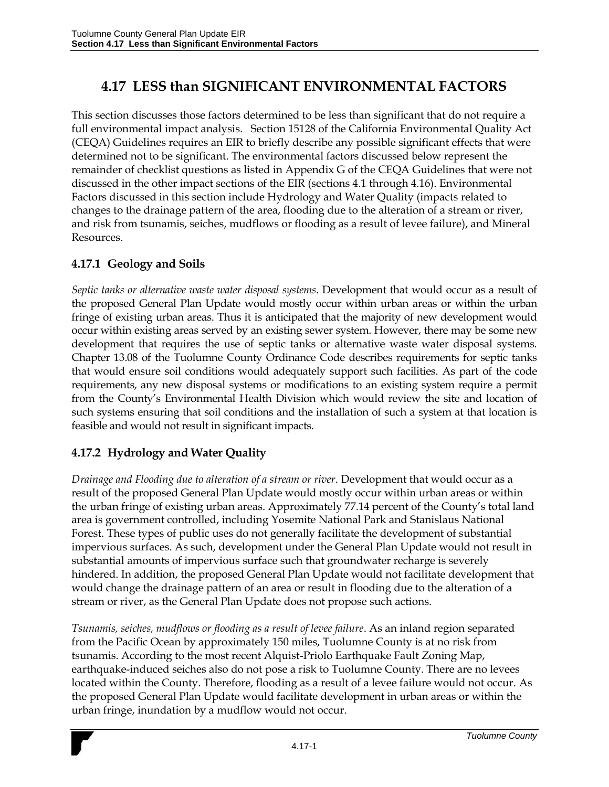## **4.17 LESS than SIGNIFICANT ENVIRONMENTAL FACTORS**

This section discusses those factors determined to be less than significant that do not require a full environmental impact analysis. Section 15128 of the California Environmental Quality Act (CEQA) Guidelines requires an EIR to briefly describe any possible significant effects that were determined not to be significant. The environmental factors discussed below represent the remainder of checklist questions as listed in Appendix G of the CEQA Guidelines that were not discussed in the other impact sections of the EIR (sections 4.1 through 4.16). Environmental Factors discussed in this section include Hydrology and Water Quality (impacts related to changes to the drainage pattern of the area, flooding due to the alteration of a stream or river, and risk from tsunamis, seiches, mudflows or flooding as a result of levee failure), and Mineral Resources.

## **4.17.1 Geology and Soils**

*Septic tanks or alternative waste water disposal systems*. Development that would occur as a result of the proposed General Plan Update would mostly occur within urban areas or within the urban fringe of existing urban areas. Thus it is anticipated that the majority of new development would occur within existing areas served by an existing sewer system. However, there may be some new development that requires the use of septic tanks or alternative waste water disposal systems. Chapter 13.08 of the Tuolumne County Ordinance Code describes requirements for septic tanks that would ensure soil conditions would adequately support such facilities. As part of the code requirements, any new disposal systems or modifications to an existing system require a permit from the County's Environmental Health Division which would review the site and location of such systems ensuring that soil conditions and the installation of such a system at that location is feasible and would not result in significant impacts.

## **4.17.2 Hydrology and Water Quality**

*Drainage and Flooding due to alteration of a stream or river*. Development that would occur as a result of the proposed General Plan Update would mostly occur within urban areas or within the urban fringe of existing urban areas. Approximately 77.14 percent of the County's total land area is government controlled, including Yosemite National Park and Stanislaus National Forest. These types of public uses do not generally facilitate the development of substantial impervious surfaces. As such, development under the General Plan Update would not result in substantial amounts of impervious surface such that groundwater recharge is severely hindered. In addition, the proposed General Plan Update would not facilitate development that would change the drainage pattern of an area or result in flooding due to the alteration of a stream or river, as the General Plan Update does not propose such actions.

*Tsunamis, seiches, mudflows or flooding as a result of levee failure*. As an inland region separated from the Pacific Ocean by approximately 150 miles, Tuolumne County is at no risk from tsunamis. According to the most recent Alquist-Priolo Earthquake Fault Zoning Map, earthquake-induced seiches also do not pose a risk to Tuolumne County. There are no levees located within the County. Therefore, flooding as a result of a levee failure would not occur. As the proposed General Plan Update would facilitate development in urban areas or within the urban fringe, inundation by a mudflow would not occur.